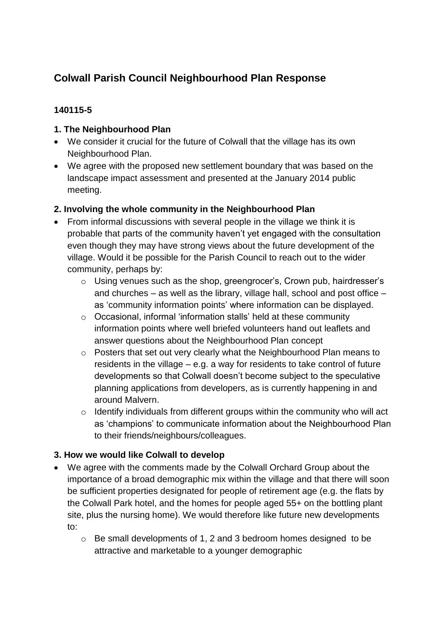# **Colwall Parish Council Neighbourhood Plan Response**

### **140115-5**

### **1. The Neighbourhood Plan**

- We consider it crucial for the future of Colwall that the village has its own Neighbourhood Plan.
- We agree with the proposed new settlement boundary that was based on the landscape impact assessment and presented at the January 2014 public meeting.

#### **2. Involving the whole community in the Neighbourhood Plan**

- From informal discussions with several people in the village we think it is probable that parts of the community haven't yet engaged with the consultation even though they may have strong views about the future development of the village. Would it be possible for the Parish Council to reach out to the wider community, perhaps by:
	- o Using venues such as the shop, greengrocer's, Crown pub, hairdresser's and churches – as well as the library, village hall, school and post office – as 'community information points' where information can be displayed.
	- o Occasional, informal 'information stalls' held at these community information points where well briefed volunteers hand out leaflets and answer questions about the Neighbourhood Plan concept
	- o Posters that set out very clearly what the Neighbourhood Plan means to residents in the village – e.g. a way for residents to take control of future developments so that Colwall doesn't become subject to the speculative planning applications from developers, as is currently happening in and around Malvern.
	- $\circ$  Identify individuals from different groups within the community who will act as 'champions' to communicate information about the Neighbourhood Plan to their friends/neighbours/colleagues.

## **3. How we would like Colwall to develop**

- We agree with the comments made by the Colwall Orchard Group about the importance of a broad demographic mix within the village and that there will soon be sufficient properties designated for people of retirement age (e.g. the flats by the Colwall Park hotel, and the homes for people aged 55+ on the bottling plant site, plus the nursing home). We would therefore like future new developments to:
	- o Be small developments of 1, 2 and 3 bedroom homes designed to be attractive and marketable to a younger demographic